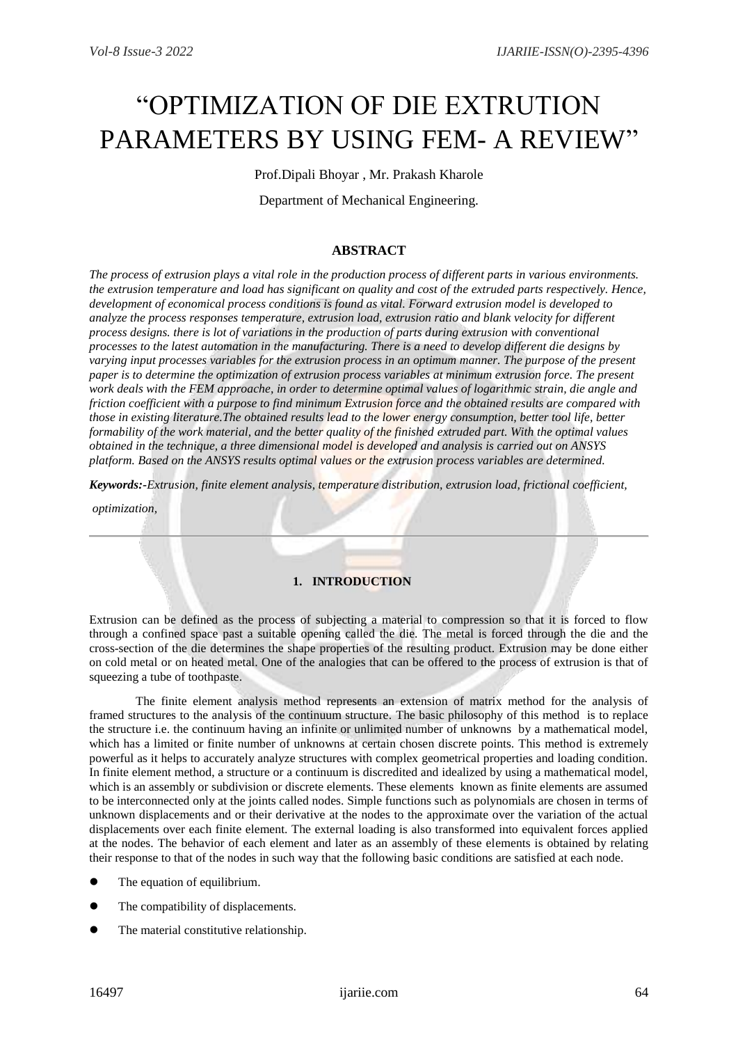# "OPTIMIZATION OF DIE EXTRUTION PARAMETERS BY USING FEM- A REVIEW"

Prof.Dipali Bhoyar , Mr. Prakash Kharole

Department of Mechanical Engineering.

# **ABSTRACT**

*The process of extrusion plays a vital role in the production process of different parts in various environments. the extrusion temperature and load has significant on quality and cost of the extruded parts respectively. Hence, development of economical process conditions is found as vital. Forward extrusion model is developed to analyze the process responses temperature, extrusion load, extrusion ratio and blank velocity for different process designs. there is lot of variations in the production of parts during extrusion with conventional processes to the latest automation in the manufacturing. There is a need to develop different die designs by varying input processes variables for the extrusion process in an optimum manner. The purpose of the present paper is to determine the optimization of extrusion process variables at minimum extrusion force. The present work deals with the FEM approache, in order to determine optimal values of logarithmic strain, die angle and friction coefficient with a purpose to find minimum Extrusion force and the obtained results are compared with those in existing literature.The obtained results lead to the lower energy consumption, better tool life, better formability of the work material, and the better quality of the finished extruded part. With the optimal values obtained in the technique, a three dimensional model is developed and analysis is carried out on ANSYS platform. Based on the ANSYS results optimal values or the extrusion process variables are determined.* 

*Keywords:-Extrusion, finite element analysis, temperature distribution, extrusion load, frictional coefficient,*

*optimization,* 

## **1. INTRODUCTION**

Extrusion can be defined as the process of subjecting a material to compression so that it is forced to flow through a confined space past a suitable opening called the die. The metal is forced through the die and the cross-section of the die determines the shape properties of the resulting product. Extrusion may be done either on cold metal or on heated metal. One of the analogies that can be offered to the process of extrusion is that of squeezing a tube of toothpaste.

The finite element analysis method represents an extension of matrix method for the analysis of framed structures to the analysis of the continuum structure. The basic philosophy of this method is to replace the structure i.e. the continuum having an infinite or unlimited number of unknowns by a mathematical model, which has a limited or finite number of unknowns at certain chosen discrete points. This method is extremely powerful as it helps to accurately analyze structures with complex geometrical properties and loading condition. In finite element method, a structure or a continuum is discredited and idealized by using a mathematical model, which is an assembly or subdivision or discrete elements. These elements known as finite elements are assumed to be interconnected only at the joints called nodes. Simple functions such as polynomials are chosen in terms of unknown displacements and or their derivative at the nodes to the approximate over the variation of the actual displacements over each finite element. The external loading is also transformed into equivalent forces applied at the nodes. The behavior of each element and later as an assembly of these elements is obtained by relating their response to that of the nodes in such way that the following basic conditions are satisfied at each node.

- The equation of equilibrium.
- The compatibility of displacements.
- The material constitutive relationship.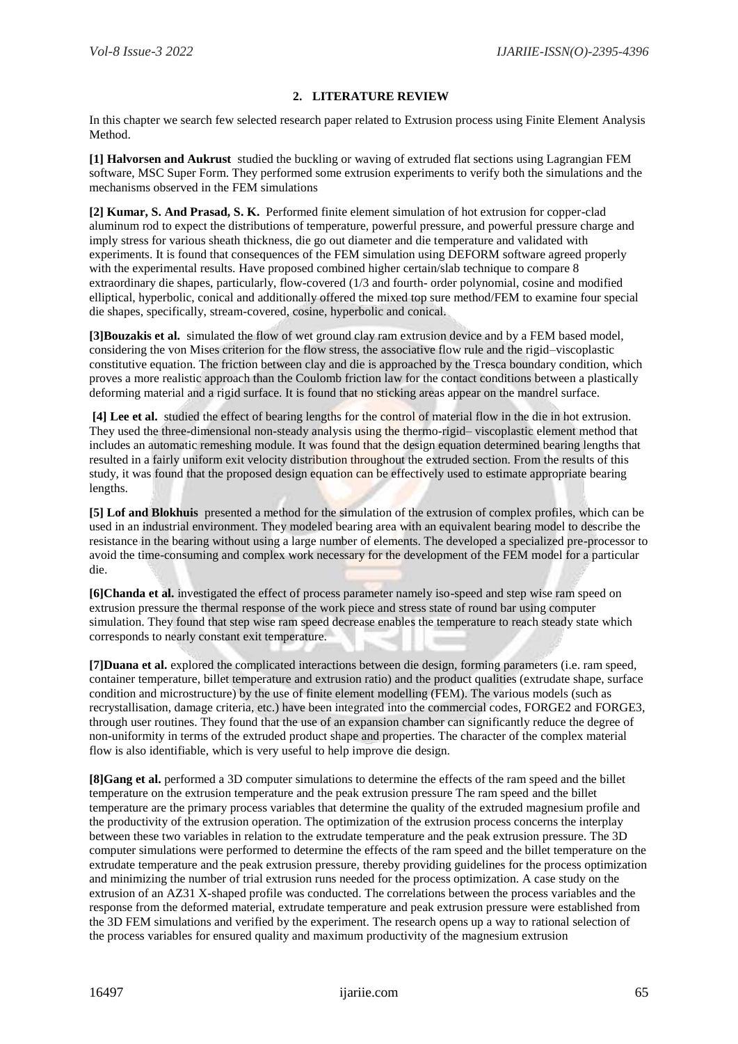## **2. LITERATURE REVIEW**

In this chapter we search few selected research paper related to Extrusion process using Finite Element Analysis Method.

**[1] Halvorsen and Aukrust** studied the buckling or waving of extruded flat sections using Lagrangian FEM software, MSC Super Form. They performed some extrusion experiments to verify both the simulations and the mechanisms observed in the FEM simulations

**[2] Kumar, S. And Prasad, S. K.** Performed finite element simulation of hot extrusion for copper-clad aluminum rod to expect the distributions of temperature, powerful pressure, and powerful pressure charge and imply stress for various sheath thickness, die go out diameter and die temperature and validated with experiments. It is found that consequences of the FEM simulation using DEFORM software agreed properly with the experimental results. Have proposed combined higher certain/slab technique to compare 8 extraordinary die shapes, particularly, flow-covered (1/3 and fourth- order polynomial, cosine and modified elliptical, hyperbolic, conical and additionally offered the mixed top sure method/FEM to examine four special die shapes, specifically, stream-covered, cosine, hyperbolic and conical.

**[3]Bouzakis et al.** simulated the flow of wet ground clay ram extrusion device and by a FEM based model, considering the von Mises criterion for the flow stress, the associative flow rule and the rigid–viscoplastic constitutive equation. The friction between clay and die is approached by the Tresca boundary condition, which proves a more realistic approach than the Coulomb friction law for the contact conditions between a plastically deforming material and a rigid surface. It is found that no sticking areas appear on the mandrel surface.

**[4] Lee et al.** studied the effect of bearing lengths for the control of material flow in the die in hot extrusion. They used the three-dimensional non-steady analysis using the thermo-rigid– viscoplastic element method that includes an automatic remeshing module. It was found that the design equation determined bearing lengths that resulted in a fairly uniform exit velocity distribution throughout the extruded section. From the results of this study, it was found that the proposed design equation can be effectively used to estimate appropriate bearing lengths.

**[5] Lof and Blokhuis** presented a method for the simulation of the extrusion of complex profiles, which can be used in an industrial environment. They modeled bearing area with an equivalent bearing model to describe the resistance in the bearing without using a large number of elements. The developed a specialized pre-processor to avoid the time-consuming and complex work necessary for the development of the FEM model for a particular die.

**[6]Chanda et al.** investigated the effect of process parameter namely iso-speed and step wise ram speed on extrusion pressure the thermal response of the work piece and stress state of round bar using computer simulation. They found that step wise ram speed decrease enables the temperature to reach steady state which corresponds to nearly constant exit temperature.

**[7]Duana et al.** explored the complicated interactions between die design, forming parameters (i.e. ram speed, container temperature, billet temperature and extrusion ratio) and the product qualities (extrudate shape, surface condition and microstructure) by the use of finite element modelling (FEM). The various models (such as recrystallisation, damage criteria, etc.) have been integrated into the commercial codes, FORGE2 and FORGE3, through user routines. They found that the use of an expansion chamber can significantly reduce the degree of non-uniformity in terms of the extruded product shape and properties. The character of the complex material flow is also identifiable, which is very useful to help improve die design.

**[8]Gang et al.** performed a 3D computer simulations to determine the effects of the ram speed and the billet temperature on the extrusion temperature and the peak extrusion pressure The ram speed and the billet temperature are the primary process variables that determine the quality of the extruded magnesium profile and the productivity of the extrusion operation. The optimization of the extrusion process concerns the interplay between these two variables in relation to the extrudate temperature and the peak extrusion pressure. The 3D computer simulations were performed to determine the effects of the ram speed and the billet temperature on the extrudate temperature and the peak extrusion pressure, thereby providing guidelines for the process optimization and minimizing the number of trial extrusion runs needed for the process optimization. A case study on the extrusion of an AZ31 X-shaped profile was conducted. The correlations between the process variables and the response from the deformed material, extrudate temperature and peak extrusion pressure were established from the 3D FEM simulations and verified by the experiment. The research opens up a way to rational selection of the process variables for ensured quality and maximum productivity of the magnesium extrusion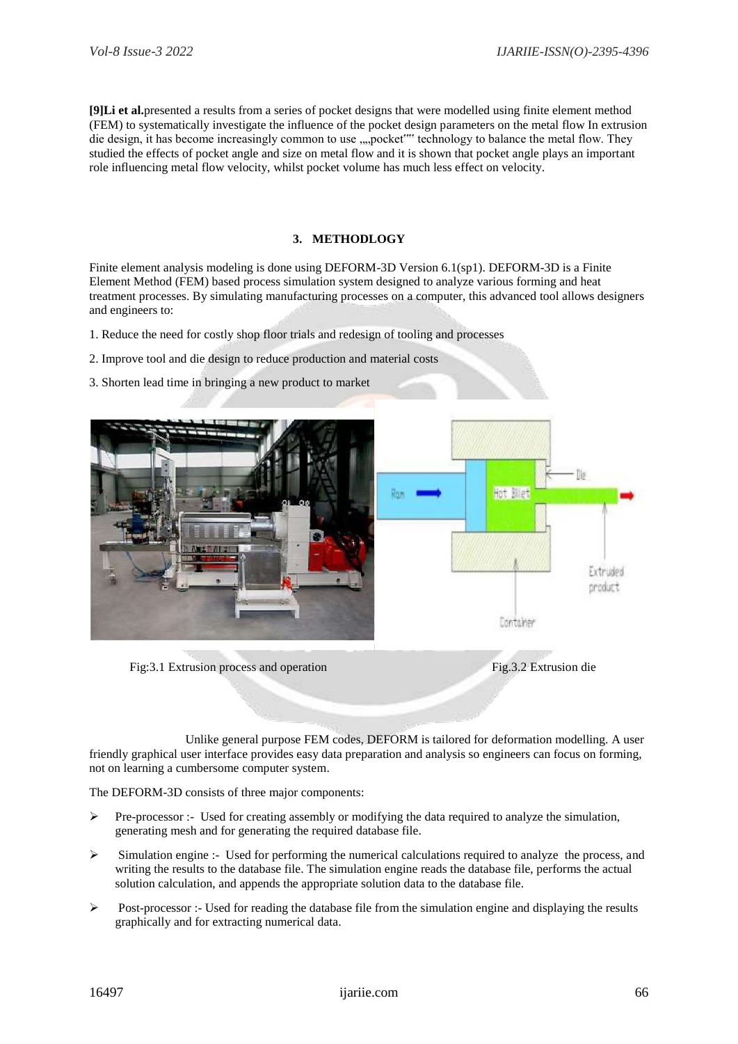**[9]Li et al.**presented a results from a series of pocket designs that were modelled using finite element method (FEM) to systematically investigate the influence of the pocket design parameters on the metal flow In extrusion die design, it has become increasingly common to use ,,,,pocket"" technology to balance the metal flow. They studied the effects of pocket angle and size on metal flow and it is shown that pocket angle plays an important role influencing metal flow velocity, whilst pocket volume has much less effect on velocity.

#### **3. METHODLOGY**

Finite element analysis modeling is done using DEFORM-3D Version 6.1(sp1). DEFORM-3D is a Finite Element Method (FEM) based process simulation system designed to analyze various forming and heat treatment processes. By simulating manufacturing processes on a computer, this advanced tool allows designers and engineers to:

- 1. Reduce the need for costly shop floor trials and redesign of tooling and processes
- 2. Improve tool and die design to reduce production and material costs
- 3. Shorten lead time in bringing a new product to market



Fig.3.1 Extrusion process and operation Fig.3.2 Extrusion die

 Unlike general purpose FEM codes, DEFORM is tailored for deformation modelling. A user friendly graphical user interface provides easy data preparation and analysis so engineers can focus on forming, not on learning a cumbersome computer system.

The DEFORM-3D consists of three major components:

- $\triangleright$  Pre-processor :- Used for creating assembly or modifying the data required to analyze the simulation, generating mesh and for generating the required database file.
- $\triangleright$  Simulation engine :- Used for performing the numerical calculations required to analyze the process, and writing the results to the database file. The simulation engine reads the database file, performs the actual solution calculation, and appends the appropriate solution data to the database file.
- $\triangleright$  Post-processor :- Used for reading the database file from the simulation engine and displaying the results graphically and for extracting numerical data.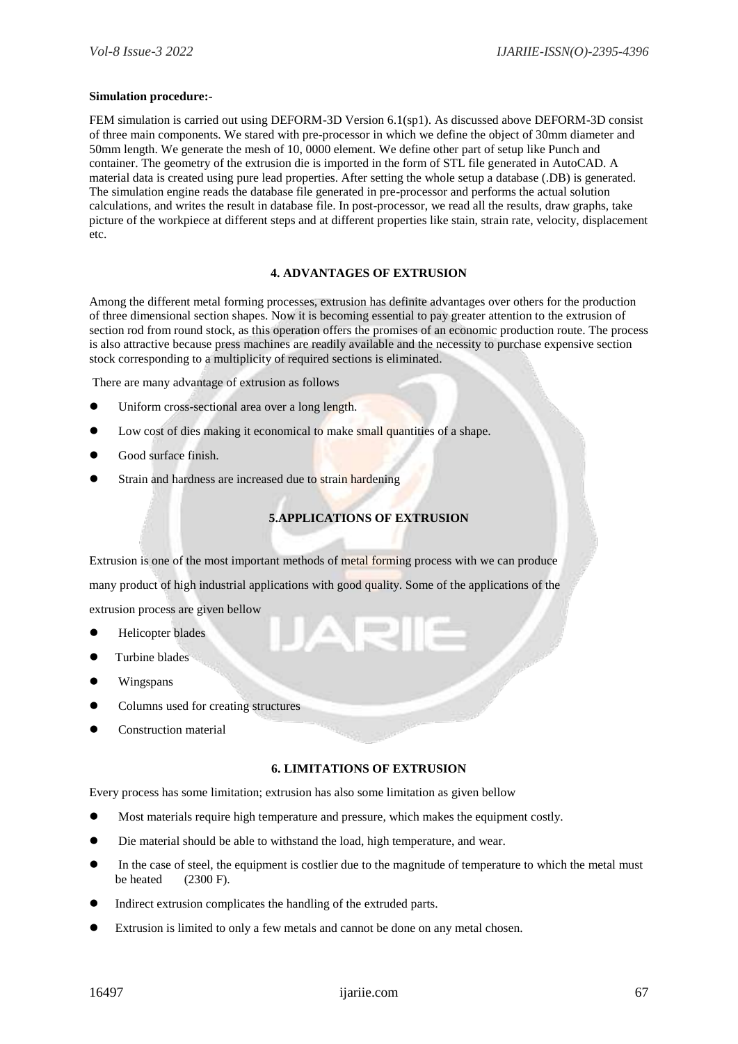#### **Simulation procedure:-**

FEM simulation is carried out using DEFORM-3D Version 6.1(sp1). As discussed above DEFORM-3D consist of three main components. We stared with pre-processor in which we define the object of 30mm diameter and 50mm length. We generate the mesh of 10, 0000 element. We define other part of setup like Punch and container. The geometry of the extrusion die is imported in the form of STL file generated in AutoCAD. A material data is created using pure lead properties. After setting the whole setup a database (.DB) is generated. The simulation engine reads the database file generated in pre-processor and performs the actual solution calculations, and writes the result in database file. In post-processor, we read all the results, draw graphs, take picture of the workpiece at different steps and at different properties like stain, strain rate, velocity, displacement etc.

#### **4. ADVANTAGES OF EXTRUSION**

Among the different metal forming processes, extrusion has definite advantages over others for the production of three dimensional section shapes. Now it is becoming essential to pay greater attention to the extrusion of section rod from round stock, as this operation offers the promises of an economic production route. The process is also attractive because press machines are readily available and the necessity to purchase expensive section stock corresponding to a multiplicity of required sections is eliminated.

There are many advantage of extrusion as follows

- Uniform cross-sectional area over a long length.
- Low cost of dies making it economical to make small quantities of a shape.
- Good surface finish.
- Strain and hardness are increased due to strain hardening

# **5.APPLICATIONS OF EXTRUSION**

Extrusion is one of the most important methods of metal forming process with we can produce many product of high industrial applications with good quality. Some of the applications of the extrusion process are given bellow

- Helicopter blades
- Turbine blades
- Wingspans
- Columns used for creating structures
- Construction material

## **6. LIMITATIONS OF EXTRUSION**

Every process has some limitation; extrusion has also some limitation as given bellow

- Most materials require high temperature and pressure, which makes the equipment costly.
- Die material should be able to withstand the load, high temperature, and wear.
- In the case of steel, the equipment is costlier due to the magnitude of temperature to which the metal must be heated  $(2300 \text{ F})$ .
- Indirect extrusion complicates the handling of the extruded parts.
- Extrusion is limited to only a few metals and cannot be done on any metal chosen.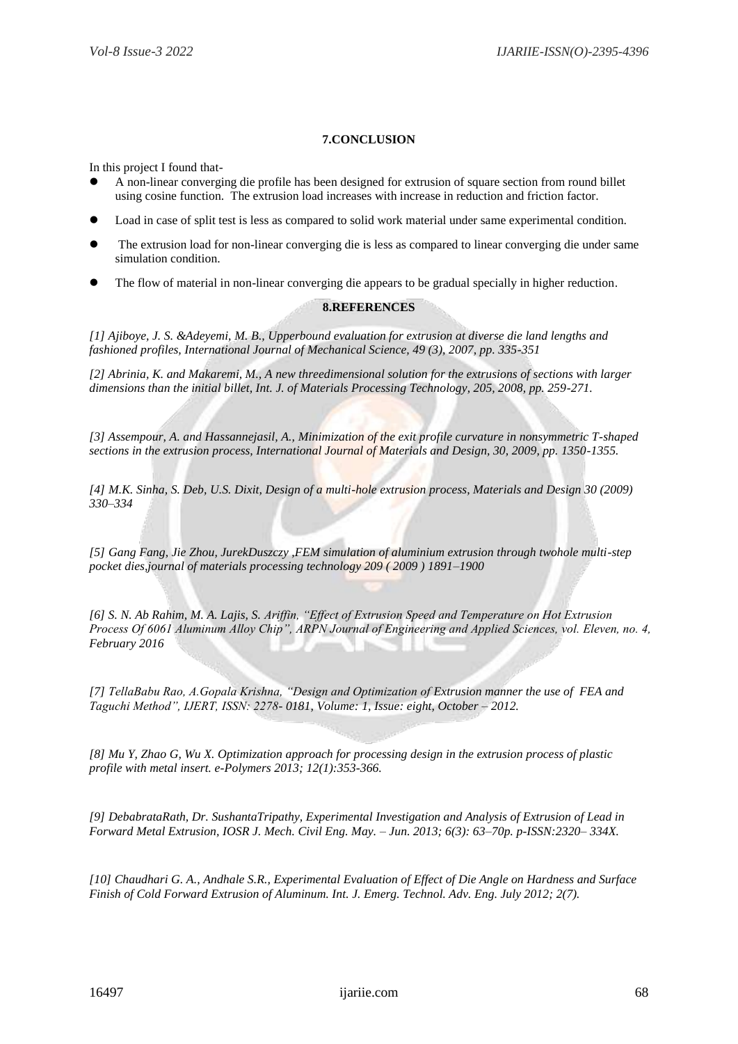#### **7.CONCLUSION**

In this project I found that-

- A non-linear converging die profile has been designed for extrusion of square section from round billet using cosine function. The extrusion load increases with increase in reduction and friction factor.
- Load in case of split test is less as compared to solid work material under same experimental condition.
- The extrusion load for non-linear converging die is less as compared to linear converging die under same simulation condition.
- The flow of material in non-linear converging die appears to be gradual specially in higher reduction.

#### **8.REFERENCES**

*[1] Ajiboye, J. S. &Adeyemi, M. B., Upperbound evaluation for extrusion at diverse die land lengths and fashioned profiles, International Journal of Mechanical Science, 49 (3), 2007, pp. 335-351* 

*[2] Abrinia, K. and Makaremi, M., A new threedimensional solution for the extrusions of sections with larger dimensions than the initial billet, Int. J. of Materials Processing Technology, 205, 2008, pp. 259-271.* 

*[3] Assempour, A. and Hassannejasil, A., Minimization of the exit profile curvature in nonsymmetric T-shaped sections in the extrusion process, International Journal of Materials and Design, 30, 2009, pp. 1350-1355.* 

*[4] M.K. Sinha, S. Deb, U.S. Dixit, Design of a multi-hole extrusion process, Materials and Design 30 (2009) 330–334* 

*[5] Gang Fang, Jie Zhou, JurekDuszczy ,FEM simulation of aluminium extrusion through twohole multi-step pocket dies,journal of materials processing technology 209 ( 2009 ) 1891–1900*

*[6] S. N. Ab Rahim, M. A. Lajis, S. Ariffin, "Effect of Extrusion Speed and Temperature on Hot Extrusion Process Of 6061 Aluminum Alloy Chip", ARPN Journal of Engineering and Applied Sciences, vol. Eleven, no. 4, February 2016*

*[7] TellaBabu Rao, A.Gopala Krishna, "Design and Optimization of Extrusion manner the use of FEA and Taguchi Method", IJERT, ISSN: 2278- 0181, Volume: 1, Issue: eight, October – 2012.*

*[8] Mu Y, Zhao G, Wu X. Optimization approach for processing design in the extrusion process of plastic profile with metal insert. e-Polymers 2013; 12(1):353-366.* 

*[9] DebabrataRath, Dr. SushantaTripathy, Experimental Investigation and Analysis of Extrusion of Lead in Forward Metal Extrusion, IOSR J. Mech. Civil Eng. May. – Jun. 2013; 6(3): 63–70p. p-ISSN:2320– 334X.*

*[10] Chaudhari G. A., Andhale S.R., Experimental Evaluation of Effect of Die Angle on Hardness and Surface Finish of Cold Forward Extrusion of Aluminum. Int. J. Emerg. Technol. Adv. Eng. July 2012; 2(7).*